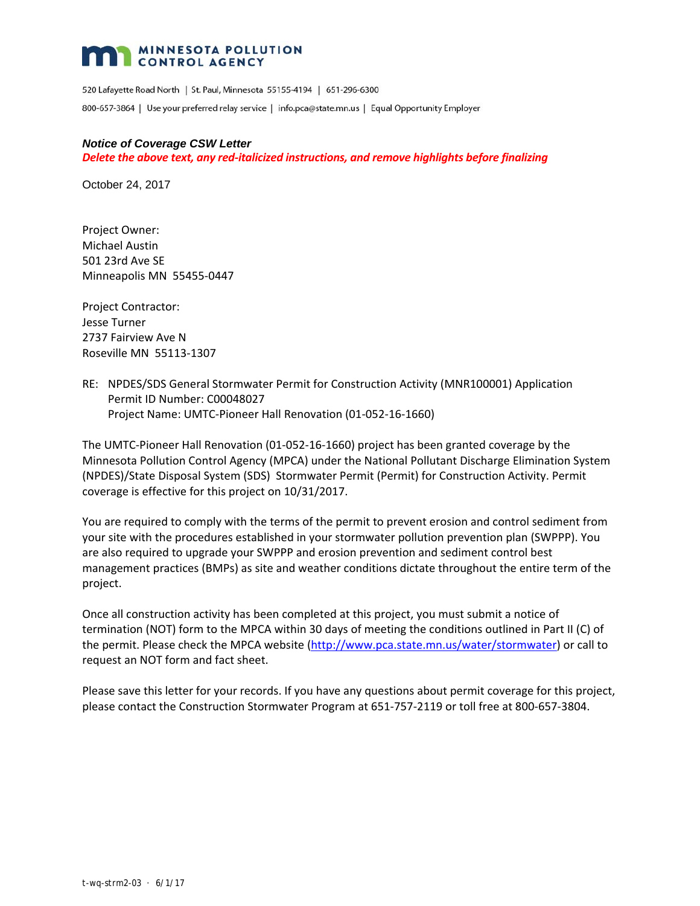## MINNESOTA POLLUTION

520 Lafayette Road North | St. Paul, Minnesota 55155-4194 | 651-296-6300 800-657-3864 | Use your preferred relay service | info.pca@state.mn.us | Equal Opportunity Employer

#### *Notice of Coverage CSW Letter*

### *Delete the above text, any red‐italicized instructions, and remove highlights before finalizing*

October 24, 2017

Project Owner: Michael Austin 501 23rd Ave SE Minneapolis MN 55455‐0447

Project Contractor: Jesse Turner 2737 Fairview Ave N Roseville MN 55113‐1307

RE: NPDES/SDS General Stormwater Permit for Construction Activity (MNR100001) Application Permit ID Number: C00048027 Project Name: UMTC‐Pioneer Hall Renovation (01‐052‐16‐1660)

The UMTC‐Pioneer Hall Renovation (01‐052‐16‐1660) project has been granted coverage by the Minnesota Pollution Control Agency (MPCA) under the National Pollutant Discharge Elimination System (NPDES)/State Disposal System (SDS) Stormwater Permit (Permit) for Construction Activity. Permit coverage is effective for this project on 10/31/2017.

You are required to comply with the terms of the permit to prevent erosion and control sediment from your site with the procedures established in your stormwater pollution prevention plan (SWPPP). You are also required to upgrade your SWPPP and erosion prevention and sediment control best management practices (BMPs) as site and weather conditions dictate throughout the entire term of the project.

Once all construction activity has been completed at this project, you must submit a notice of termination (NOT) form to the MPCA within 30 days of meeting the conditions outlined in Part II (C) of the permit. Please check the MPCA website (http://www.pca.state.mn.us/water/stormwater) or call to request an NOT form and fact sheet.

Please save this letter for your records. If you have any questions about permit coverage for this project, please contact the Construction Stormwater Program at 651‐757‐2119 or toll free at 800‐657‐3804.